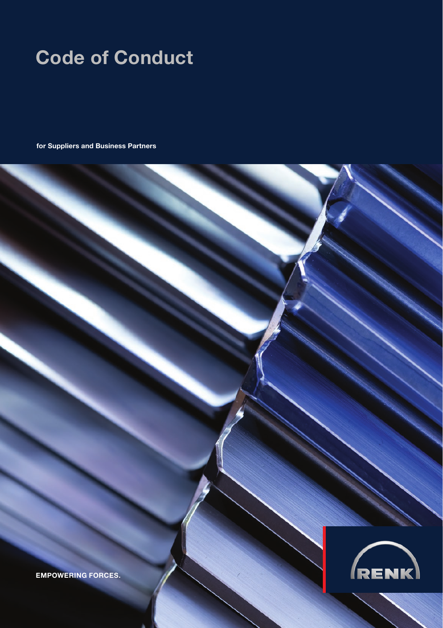## Code of Conduct

for Suppliers and Business Partners



EMPOWERING FORCES.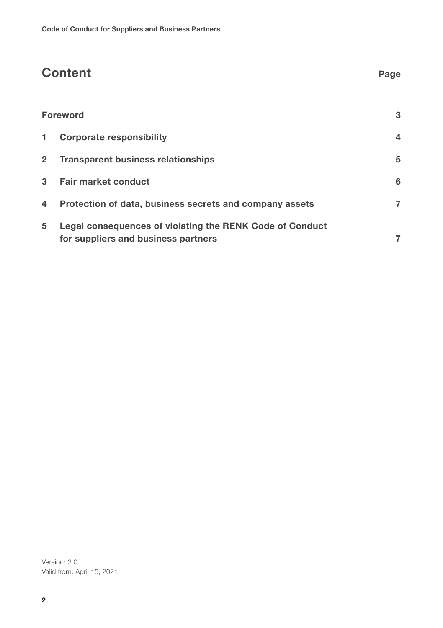# Content Page Foreword 3 1 Corporate responsibility 4 2 Transparent business relationships 6 1 1 2 3 1 2 3 4 3 4 3 4 3 4 3 4 3 4 4 3 4 4 3 4 4 3 4 4 3 4 4 4 4 3 4 4 4 5 4 4 4 5 4 4 4 5 4 4 5 4 4 5 4 4 5 4 5 4 4 5 4 5 4 5 4 5 4 5 4 5 4 5 4 5 4 5 4 5 4 5 4 5 4 5 4 5 4 5 4 5 4 5 3 Fair market conduct 6 4 Protection of data, business secrets and company assets 7 5 Legal consequences of violating the RENK Code of Conduct

for suppliers and business partners **7** 

Version: 3.0 Valid from: April 15, 2021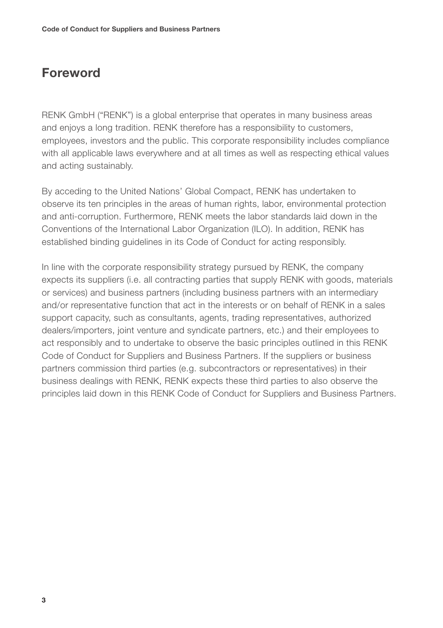### Foreword

RENK GmbH ("RENK") is a global enterprise that operates in many business areas and enjoys a long tradition. RENK therefore has a responsibility to customers, employees, investors and the public. This corporate responsibility includes compliance with all applicable laws everywhere and at all times as well as respecting ethical values and acting sustainably.

By acceding to the United Nations' Global Compact, RENK has undertaken to observe its ten principles in the areas of human rights, labor, environmental protection and anti-corruption. Furthermore, RENK meets the labor standards laid down in the Conventions of the International Labor Organization (ILO). In addition, RENK has established binding guidelines in its Code of Conduct for acting responsibly.

In line with the corporate responsibility strategy pursued by RENK, the company expects its suppliers (i.e. all contracting parties that supply RENK with goods, materials or services) and business partners (including business partners with an intermediary and/or representative function that act in the interests or on behalf of RENK in a sales support capacity, such as consultants, agents, trading representatives, authorized dealers/importers, joint venture and syndicate partners, etc.) and their employees to act responsibly and to undertake to observe the basic principles outlined in this RENK Code of Conduct for Suppliers and Business Partners. If the suppliers or business partners commission third parties (e.g. subcontractors or representatives) in their business dealings with RENK, RENK expects these third parties to also observe the principles laid down in this RENK Code of Conduct for Suppliers and Business Partners.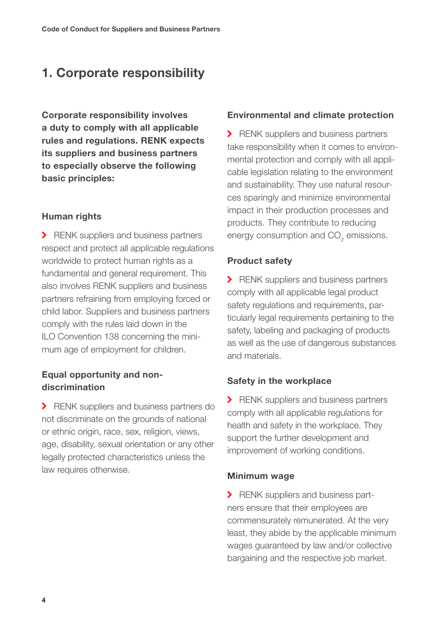## 1. Corporate responsibility

Corporate responsibility involves a duty to comply with all applicable rules and regulations. RENK expects its suppliers and business partners to especially observe the following basic principles:

#### Human rights

RENK suppliers and business partners respect and protect all applicable regulations worldwide to protect human rights as a fundamental and general requirement. This also involves RENK suppliers and business partners refraining from employing forced or child labor. Suppliers and business partners comply with the rules laid down in the ILO Convention 138 concerning the minimum age of employment for children.

#### Equal opportunity and nondiscrimination

**>** RENK suppliers and business partners do not discriminate on the grounds of national or ethnic origin, race, sex, religion, views, age, disability, sexual orientation or any other legally protected characteristics unless the law requires otherwise.

#### Environmental and climate protection

**>** RENK suppliers and business partners take responsibility when it comes to environmental protection and comply with all applicable legislation relating to the environment and sustainability. They use natural resources sparingly and minimize environmental impact in their production processes and products. They contribute to reducing energy consumption and  $CO<sub>2</sub>$  emissions.

#### Product safety

RENK suppliers and business partners comply with all applicable legal product safety regulations and requirements, particularly legal requirements pertaining to the safety, labeling and packaging of products as well as the use of dangerous substances and materials.

#### Safety in the workplace

RENK suppliers and business partners comply with all applicable regulations for health and safety in the workplace. They support the further development and improvement of working conditions.

#### Minimum wage

RENK suppliers and business partners ensure that their employees are commensurately remunerated. At the very least, they abide by the applicable minimum wages guaranteed by law and/or collective bargaining and the respective job market.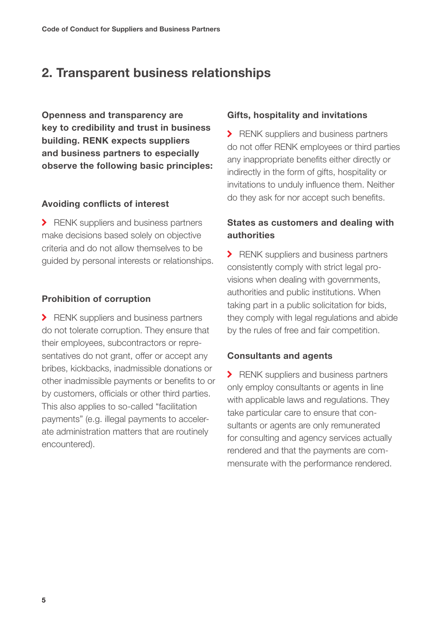## 2. Transparent business relationships

Openness and transparency are key to credibility and trust in business building. RENK expects suppliers and business partners to especially observe the following basic principles:

#### Avoiding conflicts of interest

RENK suppliers and business partners make decisions based solely on objective criteria and do not allow themselves to be guided by personal interests or relationships.

#### Prohibition of corruption

RENK suppliers and business partners do not tolerate corruption. They ensure that their employees, subcontractors or representatives do not grant, offer or accept any bribes, kickbacks, inadmissible donations or other inadmissible payments or benefits to or by customers, officials or other third parties. This also applies to so-called "facilitation payments" (e.g. illegal payments to accelerate administration matters that are routinely encountered).

#### Gifts, hospitality and invitations

RENK suppliers and business partners do not offer RENK employees or third parties any inappropriate benefits either directly or indirectly in the form of gifts, hospitality or invitations to unduly influence them. Neither do they ask for nor accept such benefits.

#### States as customers and dealing with authorities

RENK suppliers and business partners consistently comply with strict legal provisions when dealing with governments, authorities and public institutions. When taking part in a public solicitation for bids, they comply with legal regulations and abide by the rules of free and fair competition.

#### Consultants and agents

RENK suppliers and business partners only employ consultants or agents in line with applicable laws and regulations. They take particular care to ensure that consultants or agents are only remunerated for consulting and agency services actually rendered and that the payments are commensurate with the performance rendered.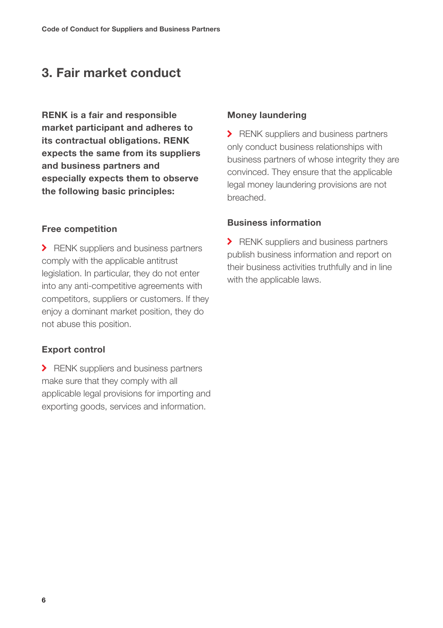## 3. Fair market conduct

RENK is a fair and responsible market participant and adheres to its contractual obligations. RENK expects the same from its suppliers and business partners and especially expects them to observe the following basic principles:

#### Free competition

> RENK suppliers and business partners comply with the applicable antitrust legislation. In particular, they do not enter into any anti-competitive agreements with competitors, suppliers or customers. If they enjoy a dominant market position, they do not abuse this position.

#### Export control

> RENK suppliers and business partners make sure that they comply with all applicable legal provisions for importing and exporting goods, services and information.

#### Money laundering

> RENK suppliers and business partners only conduct business relationships with business partners of whose integrity they are convinced. They ensure that the applicable legal money laundering provisions are not breached.

#### Business information

**>** RENK suppliers and business partners publish business information and report on their business activities truthfully and in line with the applicable laws.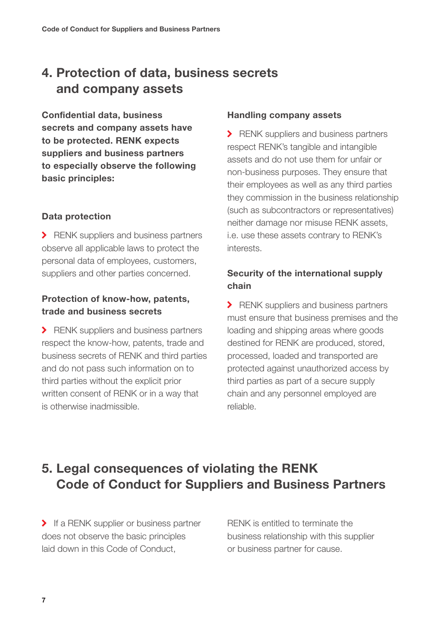## 4. Protection of data, business secrets and company assets

Confidential data, business secrets and company assets have to be protected. RENK expects suppliers and business partners to especially observe the following basic principles:

#### Data protection

RENK suppliers and business partners observe all applicable laws to protect the personal data of employees, customers, suppliers and other parties concerned.

#### Protection of know-how, patents, trade and business secrets

> RENK suppliers and business partners respect the know-how, patents, trade and business secrets of RENK and third parties and do not pass such information on to third parties without the explicit prior written consent of RENK or in a way that is otherwise inadmissible.

#### Handling company assets

RENK suppliers and business partners respect RENK's tangible and intangible assets and do not use them for unfair or non-business purposes. They ensure that their employees as well as any third parties they commission in the business relationship (such as subcontractors or representatives) neither damage nor misuse RENK assets, i.e. use these assets contrary to RENK's interests.

#### Security of the international supply chain

RENK suppliers and business partners must ensure that business premises and the loading and shipping areas where goods destined for RENK are produced, stored, processed, loaded and transported are protected against unauthorized access by third parties as part of a secure supply chain and any personnel employed are reliable.

## 5. Legal consequences of violating the RENK Code of Conduct for Suppliers and Business Partners

If a RENK supplier or business partner does not observe the basic principles laid down in this Code of Conduct,

RENK is entitled to terminate the business relationship with this supplier or business partner for cause.